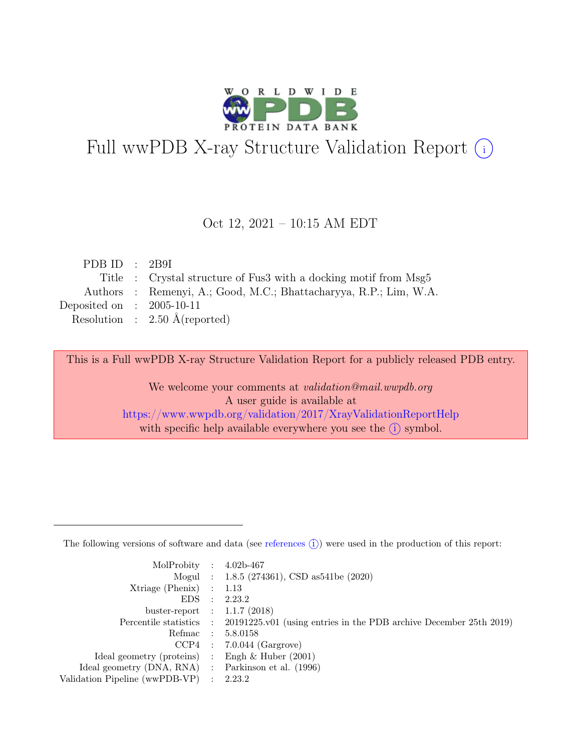

# Full wwPDB X-ray Structure Validation Report  $(i)$

#### Oct 12, 2021 – 10:15 AM EDT

| PDB ID : $2B9I$             |                                                                   |
|-----------------------------|-------------------------------------------------------------------|
|                             | Title : Crystal structure of Fus3 with a docking motif from Msg5  |
|                             | Authors : Remenyi, A.; Good, M.C.; Bhattacharyya, R.P.; Lim, W.A. |
| Deposited on : $2005-10-11$ |                                                                   |
|                             | Resolution : $2.50 \text{ Å}$ (reported)                          |
|                             |                                                                   |

This is a Full wwPDB X-ray Structure Validation Report for a publicly released PDB entry.

We welcome your comments at validation@mail.wwpdb.org A user guide is available at <https://www.wwpdb.org/validation/2017/XrayValidationReportHelp> with specific help available everywhere you see the  $(i)$  symbol.

The following versions of software and data (see [references](https://www.wwpdb.org/validation/2017/XrayValidationReportHelp#references)  $(i)$ ) were used in the production of this report:

| MolProbity : $4.02b-467$                            |                                                                                            |
|-----------------------------------------------------|--------------------------------------------------------------------------------------------|
|                                                     | Mogul : 1.8.5 (274361), CSD as 541 be (2020)                                               |
| $Xtriangle (Phenix)$ : 1.13                         |                                                                                            |
|                                                     | EDS : 2.23.2                                                                               |
| buster-report : $1.1.7$ (2018)                      |                                                                                            |
|                                                     | Percentile statistics : 20191225.v01 (using entries in the PDB archive December 25th 2019) |
|                                                     | Refmac : 5.8.0158                                                                          |
|                                                     | $CCP4$ : 7.0.044 (Gargrove)                                                                |
| Ideal geometry (proteins) : Engh $\&$ Huber (2001)  |                                                                                            |
| Ideal geometry (DNA, RNA) : Parkinson et al. (1996) |                                                                                            |
| Validation Pipeline (wwPDB-VP) : 2.23.2             |                                                                                            |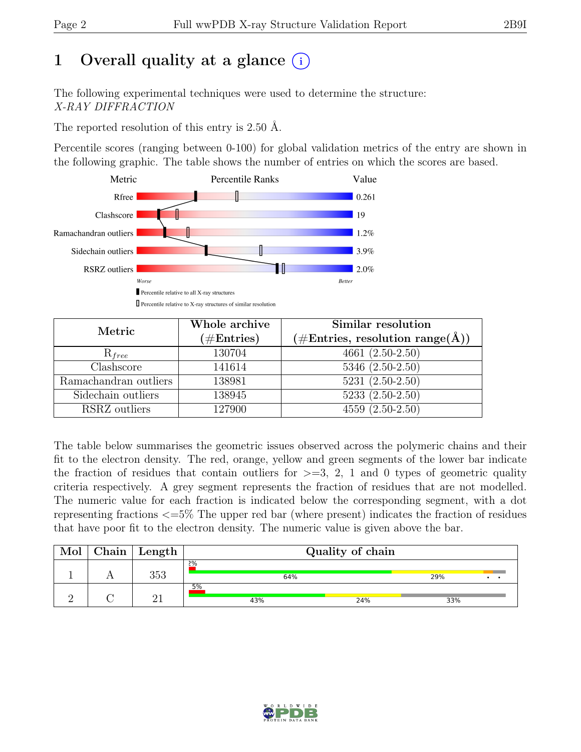# 1 Overall quality at a glance  $(i)$

The following experimental techniques were used to determine the structure: X-RAY DIFFRACTION

The reported resolution of this entry is 2.50 Å.

Percentile scores (ranging between 0-100) for global validation metrics of the entry are shown in the following graphic. The table shows the number of entries on which the scores are based.



| Metric                | Whole archive<br>$(\#Entries)$ | Similar resolution<br>$(\# \text{Entries}, \text{ resolution } \text{range}(\AA))$ |
|-----------------------|--------------------------------|------------------------------------------------------------------------------------|
| $R_{free}$            | 130704                         | $4661(2.50-2.50)$                                                                  |
| Clashscore            | 141614                         | 5346 (2.50-2.50)                                                                   |
| Ramachandran outliers | 138981                         | $5231 (2.50 - 2.50)$                                                               |
| Sidechain outliers    | 138945                         | $5233(2.50-2.50)$                                                                  |
| RSRZ outliers         | 127900                         | $4559(2.50-2.50)$                                                                  |

The table below summarises the geometric issues observed across the polymeric chains and their fit to the electron density. The red, orange, yellow and green segments of the lower bar indicate the fraction of residues that contain outliers for  $\geq$ =3, 2, 1 and 0 types of geometric quality criteria respectively. A grey segment represents the fraction of residues that are not modelled. The numeric value for each fraction is indicated below the corresponding segment, with a dot representing fractions <=5% The upper red bar (where present) indicates the fraction of residues that have poor fit to the electron density. The numeric value is given above the bar.

| Mol | ${\rm Chain}$ | $\blacksquare$ Length | Quality of chain |     |     |  |  |
|-----|---------------|-----------------------|------------------|-----|-----|--|--|
|     |               | 353                   | 2%<br>64%        |     | 29% |  |  |
|     |               | $\Omega$ 1            | 5%<br>43%        | 24% | 33% |  |  |

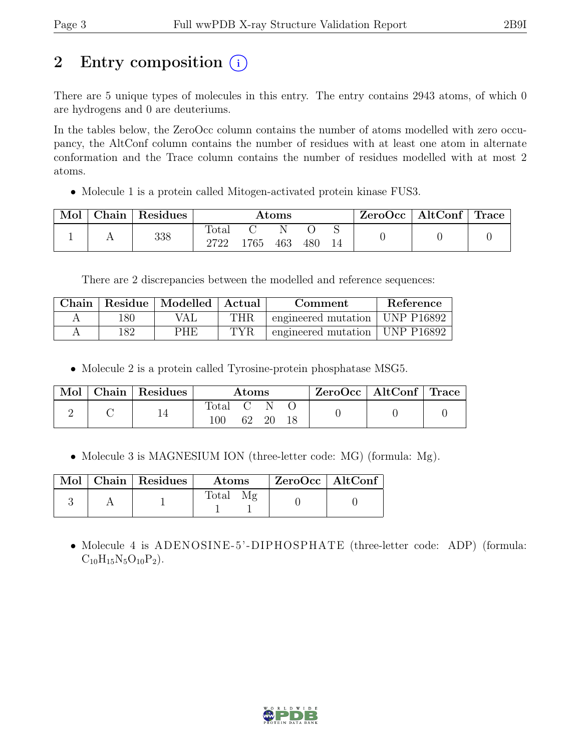## 2 Entry composition (i)

There are 5 unique types of molecules in this entry. The entry contains 2943 atoms, of which 0 are hydrogens and 0 are deuteriums.

In the tables below, the ZeroOcc column contains the number of atoms modelled with zero occupancy, the AltConf column contains the number of residues with at least one atom in alternate conformation and the Trace column contains the number of residues modelled with at most 2 atoms.

• Molecule 1 is a protein called Mitogen-activated protein kinase FUS3.

| Mol | Chain | Residues | $\rm{Atoms}$           |      |     |     | ZeroOcc | AltConf | Trace |  |
|-----|-------|----------|------------------------|------|-----|-----|---------|---------|-------|--|
|     |       | 338      | $\text{Total}$<br>2722 | 1765 | 463 | 480 |         |         |       |  |

There are 2 discrepancies between the modelled and reference sequences:

|     | Chain   Residue   Modelled   Actual | Comment    |                                  | Reference |
|-----|-------------------------------------|------------|----------------------------------|-----------|
| 180 | VAL.                                | THR        | engineered mutation   UNP P16892 |           |
| 182 | PHE                                 | <b>TYR</b> | engineered mutation   UNP P16892 |           |

• Molecule 2 is a protein called Tyrosine-protein phosphatase MSG5.

| Mol | Chain Residues | $\rm{Atoms}$   |    | $ZeroOcc \mid AltConf \mid Trace$ |  |  |  |
|-----|----------------|----------------|----|-----------------------------------|--|--|--|
|     |                | rotal -<br>100 | 62 | 20                                |  |  |  |

• Molecule 3 is MAGNESIUM ION (three-letter code: MG) (formula: Mg).

|  | Mol   Chain   Residues | Atoms          | ZeroOcc   AltConf |  |
|--|------------------------|----------------|-------------------|--|
|  |                        | $\text{Total}$ |                   |  |

• Molecule 4 is ADENOSINE-5'-DIPHOSPHATE (three-letter code: ADP) (formula:  $C_{10}H_{15}N_5O_{10}P_2$ .

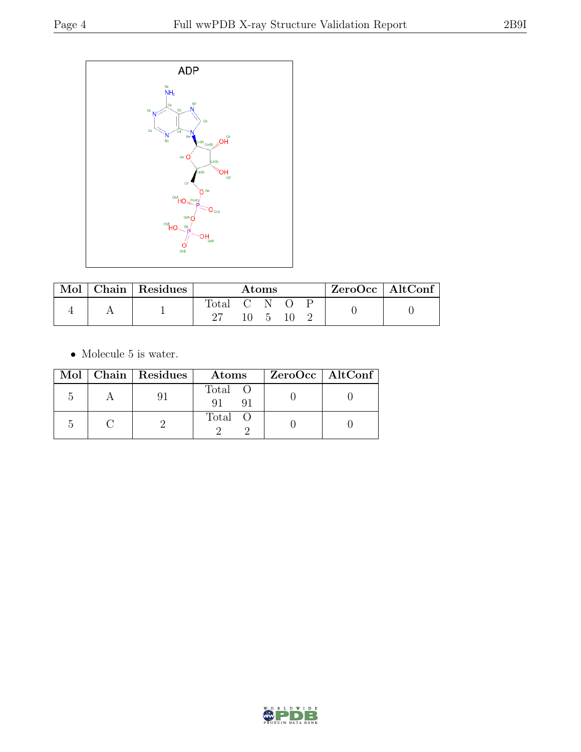

| Mol | Chain   Residues | Atoms     |  |               | $\text{ZeroOcc} \mid \text{AltConf} \mid$ |  |  |
|-----|------------------|-----------|--|---------------|-------------------------------------------|--|--|
|     |                  | Total C N |  | $\mathcal{D}$ |                                           |  |  |

 $\bullet\,$  Molecule 5 is water.

|  | Mol   Chain   Residues | Atoms         | $ZeroOcc \   \$ AltConf |
|--|------------------------|---------------|-------------------------|
|  |                        | Total O<br>91 |                         |
|  |                        | Total O       |                         |

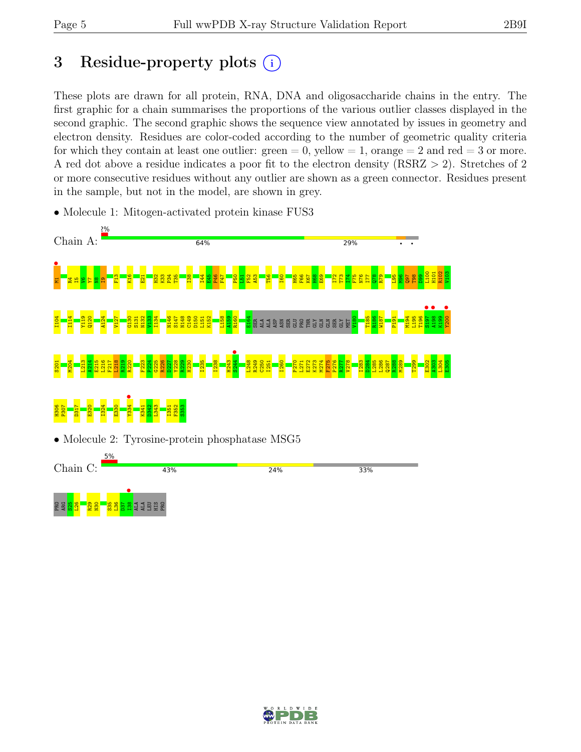## 3 Residue-property plots  $(i)$

These plots are drawn for all protein, RNA, DNA and oligosaccharide chains in the entry. The first graphic for a chain summarises the proportions of the various outlier classes displayed in the second graphic. The second graphic shows the sequence view annotated by issues in geometry and electron density. Residues are color-coded according to the number of geometric quality criteria for which they contain at least one outlier:  $green = 0$ , yellow  $= 1$ , orange  $= 2$  and red  $= 3$  or more. A red dot above a residue indicates a poor fit to the electron density (RSRZ > 2). Stretches of 2 or more consecutive residues without any outlier are shown as a green connector. Residues present in the sample, but not in the model, are shown in grey.



24%

33%

• Molecule 1: Mitogen-activated protein kinase FUS3



43%

Chain C:

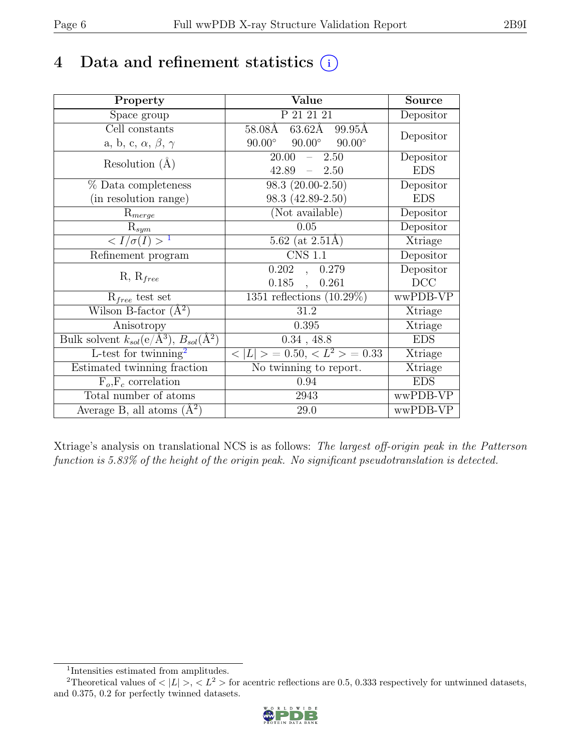## 4 Data and refinement statistics  $(i)$

| Property                                                             | Value                                            | <b>Source</b> |
|----------------------------------------------------------------------|--------------------------------------------------|---------------|
| Space group                                                          | P 21 21 21                                       | Depositor     |
| Cell constants                                                       | $63.62\text{\AA}$<br>$58.08\text{\AA}$<br>99.95Å | Depositor     |
| a, b, c, $\alpha$ , $\beta$ , $\gamma$                               | $90.00^\circ$<br>$90.00^\circ$<br>$90.00^\circ$  |               |
| Resolution $(A)$                                                     | 20.00<br>2.50<br>$\equiv$                        | Depositor     |
|                                                                      | 42.89<br>$-2.50$                                 | <b>EDS</b>    |
| % Data completeness                                                  | $\overline{98.3}$ $(20.00-2.50)$                 | Depositor     |
| (in resolution range)                                                | 98.3 (42.89-2.50)                                | <b>EDS</b>    |
| $R_{merge}$                                                          | (Not available)                                  | Depositor     |
| $\mathrm{R}_{sym}$                                                   | 0.05                                             | Depositor     |
| $\langle I/\sigma(I) \rangle$ <sup>1</sup>                           | 5.62 (at $2.51\text{\AA})$                       | Xtriage       |
| Refinement program                                                   | <b>CNS 1.1</b>                                   | Depositor     |
|                                                                      | 0.202<br>, 0.279                                 | Depositor     |
| $R, R_{free}$                                                        | $0.185$ ,<br>0.261                               | DCC           |
| $R_{free}$ test set                                                  | 1351 reflections $(10.29\%)$                     | wwPDB-VP      |
| Wilson B-factor $(A^2)$                                              | 31.2                                             | Xtriage       |
| Anisotropy                                                           | 0.395                                            | Xtriage       |
| Bulk solvent $k_{sol}(e/\mathring{A}^3)$ , $B_{sol}(\mathring{A}^2)$ | $0.34$ , 48.8                                    | <b>EDS</b>    |
| L-test for twinning <sup>2</sup>                                     | $< L >$ = 0.50, $< L^2 >$ = 0.33                 | Xtriage       |
| Estimated twinning fraction                                          | No twinning to report.                           | Xtriage       |
| $\overline{F_o,F_c}$ correlation                                     | 0.94                                             | <b>EDS</b>    |
| Total number of atoms                                                | 2943                                             | wwPDB-VP      |
| Average B, all atoms $(A^2)$                                         | 29.0                                             | wwPDB-VP      |

Xtriage's analysis on translational NCS is as follows: The largest off-origin peak in the Patterson function is 5.83% of the height of the origin peak. No significant pseudotranslation is detected.

<sup>&</sup>lt;sup>2</sup>Theoretical values of  $\langle |L| \rangle$ ,  $\langle L^2 \rangle$  for acentric reflections are 0.5, 0.333 respectively for untwinned datasets, and 0.375, 0.2 for perfectly twinned datasets.



<span id="page-5-1"></span><span id="page-5-0"></span><sup>1</sup> Intensities estimated from amplitudes.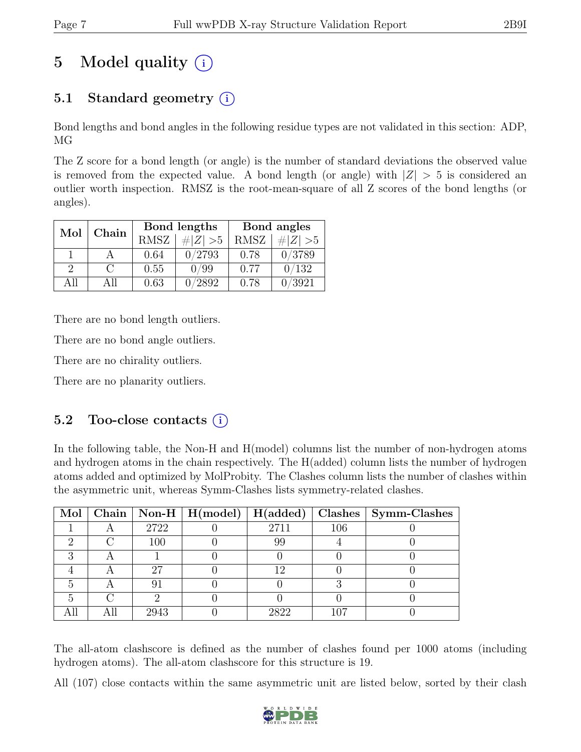# 5 Model quality  $(i)$

## 5.1 Standard geometry (i)

Bond lengths and bond angles in the following residue types are not validated in this section: ADP, MG

The Z score for a bond length (or angle) is the number of standard deviations the observed value is removed from the expected value. A bond length (or angle) with  $|Z| > 5$  is considered an outlier worth inspection. RMSZ is the root-mean-square of all Z scores of the bond lengths (or angles).

| Mol           | Chain  |             | Bond lengths | Bond angles |             |  |
|---------------|--------|-------------|--------------|-------------|-------------|--|
|               |        | <b>RMSZ</b> | $\# Z  > 5$  | <b>RMSZ</b> | # $ Z  > 5$ |  |
|               |        | 0.64        | 0/2793       | 0.78        | 0/3789      |  |
| $\mathcal{D}$ | $\cap$ | 0.55        | 0/99         | 0.77        | 0/132       |  |
| ΔH            | All    | 0.63        | 0/2892       | 0.78        | 3921        |  |

There are no bond length outliers.

There are no bond angle outliers.

There are no chirality outliers.

There are no planarity outliers.

### 5.2 Too-close contacts  $(i)$

In the following table, the Non-H and H(model) columns list the number of non-hydrogen atoms and hydrogen atoms in the chain respectively. The H(added) column lists the number of hydrogen atoms added and optimized by MolProbity. The Clashes column lists the number of clashes within the asymmetric unit, whereas Symm-Clashes lists symmetry-related clashes.

|  |      |      |     | Mol   Chain   Non-H   H(model)   H(added)   Clashes   Symm-Clashes |
|--|------|------|-----|--------------------------------------------------------------------|
|  | 2722 | 2711 | 106 |                                                                    |
|  | 100  | 99   |     |                                                                    |
|  |      |      |     |                                                                    |
|  | 27   | 19   |     |                                                                    |
|  |      |      |     |                                                                    |
|  |      |      |     |                                                                    |
|  | 2943 | 2822 |     |                                                                    |

The all-atom clashscore is defined as the number of clashes found per 1000 atoms (including hydrogen atoms). The all-atom clashscore for this structure is 19.

All (107) close contacts within the same asymmetric unit are listed below, sorted by their clash

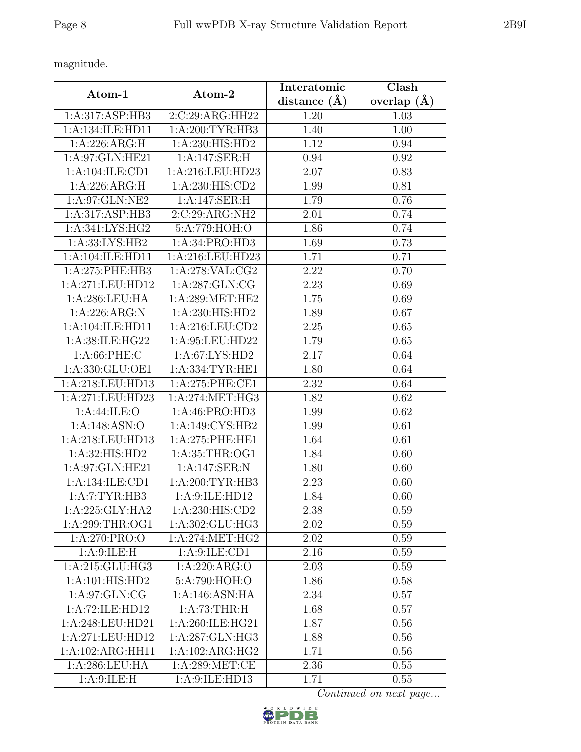magnitude.

| Atom-1             | Atom-2                       | Interatomic       | Clash           |
|--------------------|------------------------------|-------------------|-----------------|
|                    |                              | distance $(\AA)$  | overlap $(\AA)$ |
| 1:A:317:ASP:HB3    | 2:C:29:ARG:HH22              | 1.20              | 1.03            |
| 1:A:134:ILE:HD11   | 1: A:200:TYR:HB3             | 1.40              | 1.00            |
| 1:A:226:ARG:H      | 1:A:230:HIS:HD2              | 1.12              | 0.94            |
| 1: A:97: GLN: HE21 | 1:A:147:SER:H                | 0.94              | 0.92            |
| 1:A:104:ILE:CD1    | 1:A:216:LEU:HD23             | 2.07              | 0.83            |
| 1:A:226:ARG:H      | 1:A:230:HIS:CD2              | 1.99              | 0.81            |
| 1:A:97:GLN:NE2     | 1:A:147:SER:H                | 1.79              | 0.76            |
| 1:A:317:ASP:HB3    | 2:C:29:ARG:NH2               | 2.01              | 0.74            |
| 1: A:341: LYS: HG2 | 5:A:779:HOH:O                | 1.86              | 0.74            |
| 1: A: 33: LYS: HB2 | 1:A:34:PRO:HD3               | 1.69              | 0.73            |
| 1:A:104:ILE:HD11   | 1:A:216:LEU:HD23             | 1.71              | 0.71            |
| 1:A:275:PHE:HB3    | 1:A:278:VAL:CG2              | 2.22              | 0.70            |
| 1:A:271:LEU:HD12   | 1:A:287:GLN:CG               | $\overline{2.23}$ | 0.69            |
| 1: A:286:LEU:HA    | 1:A:289:MET:HE2              | 1.75              | 0.69            |
| 1:A:226:ARG:N      | $1:A:230:HIS:\overline{HD2}$ | 1.89              | 0.67            |
| 1:A:104:ILE:HD11   | 1:A:216:LEU:CD2              | 2.25              | 0.65            |
| 1: A:38: ILE: HG22 | 1:A:95:LEU:HD22              | 1.79              | 0.65            |
| 1: A:66:PHE:C      | 1:A:67:LYS:HD2               | 2.17              | 0.64            |
| 1:A:330:GLU:OE1    | 1: A: 334: TYR: HE1          | 1.80              | 0.64            |
| 1:A:218:LEU:HD13   | 1:A:275:PHE:CE1              | 2.32              | 0.64            |
| 1:A:271:LEU:HD23   | 1: A:274:MET:HG3             | 1.82              | 0.62            |
| 1:A:44:ILE:O       | 1:A:46:PRO:HD3               | 1.99              | 0.62            |
| 1: A:148: ASN:O    | 1: A:149: CYS:HB2            | 1.99              | 0.61            |
| 1:A:218:LEU:HD13   | 1:A:275:PHE:HE1              | 1.64              | 0.61            |
| 1: A:32: HIS: HD2  | 1:A:35:THR:OG1               | 1.84              | 0.60            |
| 1: A:97: GLN: HE21 | 1:A:147:SER:N                | 1.80              | 0.60            |
| 1:A:134:ILE:CD1    | 1: A:200:TYR:HB3             | 2.23              | 0.60            |
| 1:A:7:TYR:HB3      | 1: A:9: ILE: HD12            | 1.84              | 0.60            |
| 1:A:225:GLY:HA2    | 1: A:230: HIS: CD2           | 2.38              | 0.59            |
| 1: A:299:THR:OG1   | 1:A:302:GLU:HG3              | 2.02              | 0.59            |
| 1:A:270:PRO:O      | 1: A:274: MET:HG2            | 2.02              | 0.59            |
| 1: A:9: ILE:H      | 1: A:9: ILE: CD1             | 2.16              | 0.59            |
| 1:A:215:GLU:HG3    | 1:A:220:ARG:O                | 2.03              | 0.59            |
| 1:A:101:HIS:HD2    | 5:A:790:HOH:O                | 1.86              | 0.58            |
| 1: A:97: GLN: CG   | 1:A:146:ASN:HA               | 2.34              | 0.57            |
| 1:A:72:ILE:HD12    | 1: A:73:THR:H                | 1.68              | 0.57            |
| 1:A:248:LEU:HD21   | 1:A:260:ILE:HG21             | 1.87              | 0.56            |
| 1:A:271:LEU:HD12   | $1:A:287:GLN:H\overline{G3}$ | 1.88              | 0.56            |
| 1:A:102:ARG:HH11   | 1:A:102:ARG:HG2              | 1.71              | 0.56            |
| 1: A:286:LEU:HA    | 1: A:289:MET:CE              | 2.36              | 0.55            |
| 1: A:9: ILE:H      | 1:A:9:ILE:HD13               | 1.71              | 0.55            |

Continued on next page...

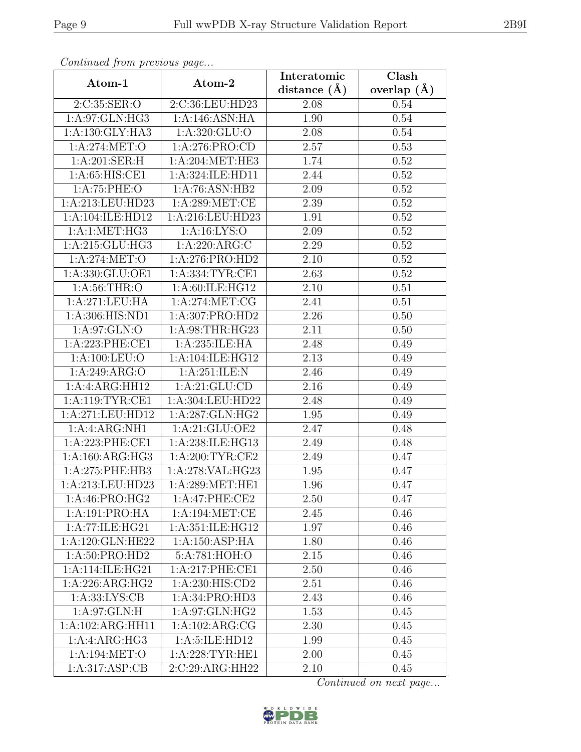| Continuea from previous page |                     | Interatomic       | Clash           |
|------------------------------|---------------------|-------------------|-----------------|
| Atom-1                       | Atom-2              | distance $(A)$    | overlap $(\AA)$ |
| 2:C:35:SER:O                 | 2:C:36:LEU:HD23     | 2.08              | 0.54            |
| 1: A:97: GLN: HG3            | 1:A:146:ASN:HA      | $\overline{1.90}$ | 0.54            |
| 1: A: 130: GLY: HA3          | 1: A:320: GLU:O     | 2.08              | 0.54            |
| 1:A:274:MET:O                | 1:A:276:PRO:CD      | 2.57              | 0.53            |
| 1:A:201:SER:H                | 1:A:204:MET:HE3     | 1.74              | 0.52            |
| 1:A:65:HIS:CE1               | 1:A:324:ILE:HD11    | 2.44              | 0.52            |
| 1:A:75:PHE:O                 | 1:A:76:ASN:HB2      | 2.09              | 0.52            |
| 1:A:213:LEU:HD23             | 1: A:289: MET:CE    | 2.39              | 0.52            |
| 1:A:104:ILE:HD12             | 1:A:216:LEU:HD23    | 1.91              | 0.52            |
| 1:A:1:MET:HG3                | 1: A: 16: LYS: O    | 2.09              | 0.52            |
| 1: A:215: GLU: HG3           | 1:A:220:ARG:C       | 2.29              | 0.52            |
| 1: A:274: MET:O              | 1: A:276: PRO:HD2   | 2.10              | 0.52            |
| 1:A:330:GLU:OE1              | 1: A: 334: TYR: CE1 | 2.63              | 0.52            |
| 1: A:56:THR:O                | 1:A:60:ILE:HG12     | 2.10              | 0.51            |
| 1:A:271:LEU:HA               | 1: A:274:MET:CG     | 2.41              | 0.51            |
| 1:A:306:HIS:ND1              | 1:A:307:PRO:HD2     | 2.26              | 0.50            |
| 1: A:97: GLN:O               | 1: A:98:THR:HG23    | 2.11              | 0.50            |
| 1: A:223: PHE:CE1            | 1:A:235:ILE:HA      | 2.48              | 0.49            |
| 1: A:100:LEU:O               | 1: A:104: ILE: HG12 | $\overline{2.13}$ | 0.49            |
| 1:A:249:ARG:O                | 1: A:251: ILE:N     | 2.46              | 0.49            |
| 1:A:4:ARG:HH12               | 1: A:21: GLU:CD     | 2.16              | 0.49            |
| 1: A:119: TYR: CE1           | 1:A:304:LEU:HD22    | 2.48              | 0.49            |
| 1:A:271:LEU:HD12             | 1:A:287:GLN:HG2     | 1.95              | 0.49            |
| 1:A:ARG:NH1                  | 1:A:21:GLU:OE2      | 2.47              | 0.48            |
| 1:A:223:PHE:CE1              | 1:A:238:ILE:HG13    | 2.49              | 0.48            |
| 1:A:160:ARG:HG3              | 1:A:200:TYR:CE2     | 2.49              | 0.47            |
| 1:A:275:PHE:HB3              | 1:A:278:VAL:HG23    | 1.95              | 0.47            |
| 1:A:213:LEU:HD23             | 1:A:289:MET:HE1     | 1.96              | 0.47            |
| 1: A:46: PRO:HG2             | 1:A:47:PHE:CE2      | 2.50              | 0.47            |
| 1:A:191:PRO:HA               | 1:A:194:MET:CE      | 2.45              | 0.46            |
| 1:A:77:ILE:HG21              | 1: A:351: ILE: HG12 | 1.97              | 0.46            |
| 1:A:120:GLN:HE22             | 1:A:150:ASP:HA      | 1.80              | 0.46            |
| 1:A:50:PRO:HD2               | 5:A:781:HOH:O       | 2.15              | 0.46            |
| 1:A:114:ILE:HG21             | 1:A:217:PHE:CE1     | 2.50              | 0.46            |
| 1:A:226:ARG:HG2              | 1: A:230: HIS: CD2  | 2.51              | 0.46            |
| 1: A: 33: LYS: CB            | 1:A:34:PRO:HD3      | 2.43              | 0.46            |
| 1: A:97: GLN: H              | 1:A:97:GLN:HG2      | 1.53              | 0.45            |
| 1:A:102:ARG:HH11             | 1:A:102:ARG:CG      | 2.30              | 0.45            |
| 1:A:ARG:HG3                  | 1:A:5:ILE:HD12      | 1.99              | 0.45            |
| 1:A:194:MET:O                | 1: A:228:TYR:HE1    | $2.00\,$          | 0.45            |
| 1:A:317:ASP:CB               | 2:C:29:ARG:HH22     | 2.10              | 0.45            |

Continued from previous page.

Continued on next page...

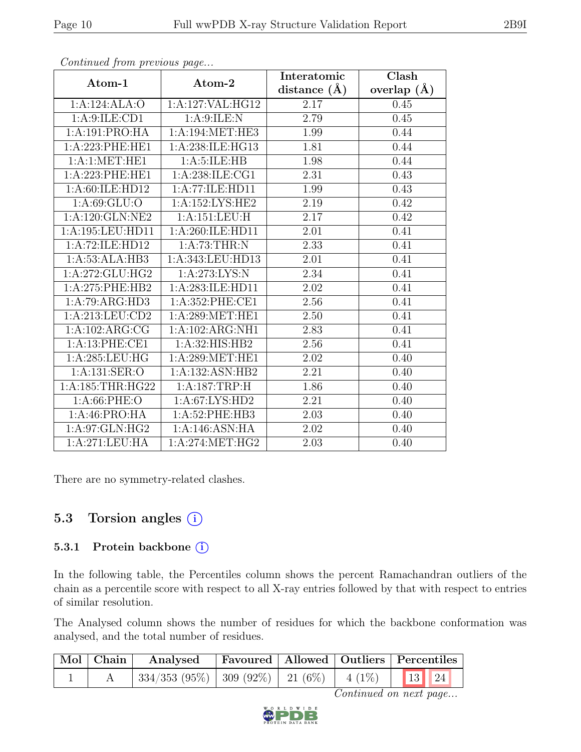|                        |                                     | Interatomic    | Clash           |
|------------------------|-------------------------------------|----------------|-----------------|
| Atom-1                 | Atom-2                              | distance $(A)$ | overlap $(\AA)$ |
| 1:A:124:ALA:O          | 1:A:127:VAL:HG12                    | 2.17           | 0.45            |
| 1:A:9:ILE:CD1          | 1: A:9: ILE:N                       | 2.79           | 0.45            |
| 1:A:191:PRO:HA         | 1: A:194: MET:HE3                   | 1.99           | 0.44            |
| 1:A:223:PHE:HE1        | 1:A:238:ILE:HG13                    | 1.81           | 0.44            |
| $1:A:1:\text{MET}:HE1$ | 1: A:5: ILE: HB                     | 1.98           | 0.44            |
| 1:A:223:PHE:HE1        | 1:A:238:ILE:CG1                     | 2.31           | 0.43            |
| 1:A:60:ILE:HD12        | $1:A:77:\overline{\text{ILE:HD11}}$ | 1.99           | 0.43            |
| 1: A:69: GLU:O         | 1:A:152:LYS:HE2                     | 2.19           | 0.42            |
| 1:A:120:GLN:NE2        | 1:A:151:LEU:H                       | 2.17           | 0.42            |
| 1:A:195:LEU:HD11       | 1:A:260:ILE:HD11                    | 2.01           | 0.41            |
| 1:A:72:ILE:HD12        | 1:A:73:THR:N                        | 2.33           | 0.41            |
| 1:A:53:ALA:HB3         | 1:A:343:LEU:HD13                    | 2.01           | 0.41            |
| 1:A:272:GLU:HG2        | 1: A:273: LYS: N                    | 2.34           | 0.41            |
| 1:A:275:PHE:HB2        | 1:A:283:ILE:HD11                    | 2.02           | 0.41            |
| 1:A:79:ARG:HD3         | 1:A:352:PHE:CE1                     | 2.56           | 0.41            |
| 1: A:213:LEU:CD2       | 1: A:289: MET:HE1                   | 2.50           | 0.41            |
| 1:A:102:ARG:CG         | 1:A:102:ARG:NH1                     | 2.83           | 0.41            |
| 1:A:13:PHE:CE1         | 1:A:32:HIS:HB2                      | 2.56           | 0.41            |
| 1: A:285:LEU:HG        | 1: A:289: MET:HE1                   | 2.02           | 0.40            |
| 1:A:131:SER:O          | 1:A:132:ASN:HB2                     | 2.21           | 0.40            |
| 1:A:185:THR:HG22       | 1:A:187:TRP:H                       | 1.86           | 0.40            |
| 1: A:66:PHE:O          | 1: A:67: LYS: HD2                   | 2.21           | 0.40            |
| 1:A:46:PRO:HA          | 1:A:52:PHE:HB3                      | 2.03           | 0.40            |
| 1: A:97: GLN: HG2      | 1:A:146:ASN:HA                      | 2.02           | 0.40            |
| 1:A:271:LEU:HA         | 1: A:274: MET:HG2                   | 2.03           | 0.40            |

Continued from previous page...

There are no symmetry-related clashes.

### 5.3 Torsion angles  $(i)$

#### 5.3.1 Protein backbone (i)

In the following table, the Percentiles column shows the percent Ramachandran outliers of the chain as a percentile score with respect to all X-ray entries followed by that with respect to entries of similar resolution.

The Analysed column shows the number of residues for which the backbone conformation was analysed, and the total number of residues.

| $\mid$ Mol $\mid$ Chain $\mid$ | Analysed   Favoured   Allowed   Outliers   Percentiles |  |  |  |
|--------------------------------|--------------------------------------------------------|--|--|--|
|                                | 334/353 (95%)   309 (92%)   21 (6%)   4 (1%)   13   24 |  |  |  |

Continued on next page...

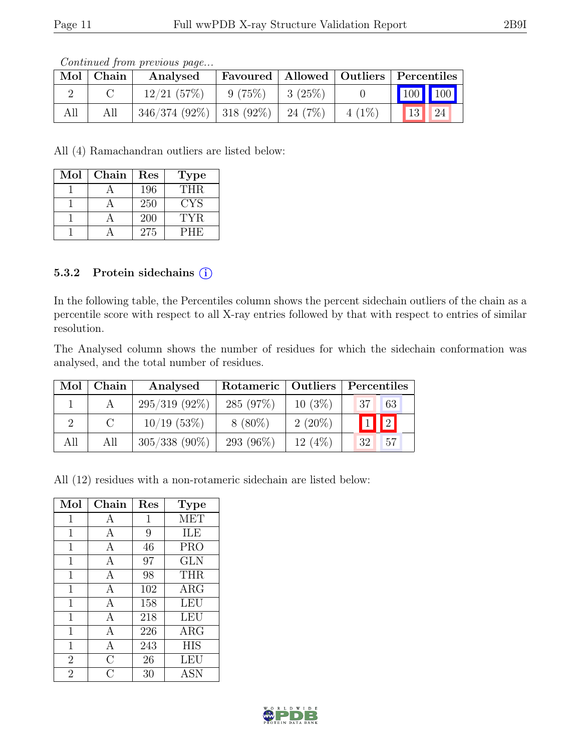|     | Mol   Chain | Analysed                            |        |              |          | Favoured   Allowed   Outliers   Percentiles    |
|-----|-------------|-------------------------------------|--------|--------------|----------|------------------------------------------------|
|     |             | 12/21(57%)                          | 9(75%) | $  3 (25\%)$ |          | $\begin{bmatrix} 100 \\ 100 \end{bmatrix}$ 100 |
| All | All         | $346/374(92\%)$ 318 (92\%) 24 (7\%) |        |              | $4(1\%)$ | $\vert 13 \vert \vert 24 \vert$                |

Continued from previous page...

All (4) Ramachandran outliers are listed below:

| Mol | Chain | Res | <b>Type</b> |
|-----|-------|-----|-------------|
|     |       | 196 | <b>THR</b>  |
|     |       | 250 | CYS         |
|     |       | 200 | TYR.        |
|     |       | 275 | <b>PHE</b>  |

#### 5.3.2 Protein sidechains (i)

In the following table, the Percentiles column shows the percent sidechain outliers of the chain as a percentile score with respect to all X-ray entries followed by that with respect to entries of similar resolution.

The Analysed column shows the number of residues for which the sidechain conformation was analysed, and the total number of residues.

| Mol | Chain    | Analysed        |            |           | Rotameric   Outliers   Percentiles |     |  |
|-----|----------|-----------------|------------|-----------|------------------------------------|-----|--|
|     |          | $295/319(92\%)$ | 285 (97%)  | $10(3\%)$ | 37 <sup>1</sup>                    | 63  |  |
|     | $\Gamma$ | $10/19$ (53\%)  | $8(80\%)$  | $2(20\%)$ | $\boxed{1}$ $\boxed{2}$            |     |  |
| All | All      | $305/338$ (90%) | 293 (96\%) | 12(4%)    | 32                                 | .57 |  |

All (12) residues with a non-rotameric sidechain are listed below:

| Mol            | Chain          | Res          | <b>Type</b> |
|----------------|----------------|--------------|-------------|
| 1              | А              | $\mathbf{1}$ | <b>MET</b>  |
| $\mathbf 1$    | A              | 9            | ILE         |
| 1              | А              | 46           | <b>PRO</b>  |
| $\mathbf 1$    | A              | 97           | <b>GLN</b>  |
| $\mathbf 1$    | A              | 98           | <b>THR</b>  |
| 1              | А              | 102          | ARG         |
| 1              | А              | 158          | LEU         |
| $\mathbf 1$    | A              | 218          | <b>LEU</b>  |
| 1              | А              | 226          | $\rm{ARG}$  |
| 1              | $\overline{A}$ | 243          | <b>HIS</b>  |
| $\overline{2}$ | $\overline{C}$ | 26           | LEU         |
| $\overline{2}$ | C              | 30           | <b>ASN</b>  |

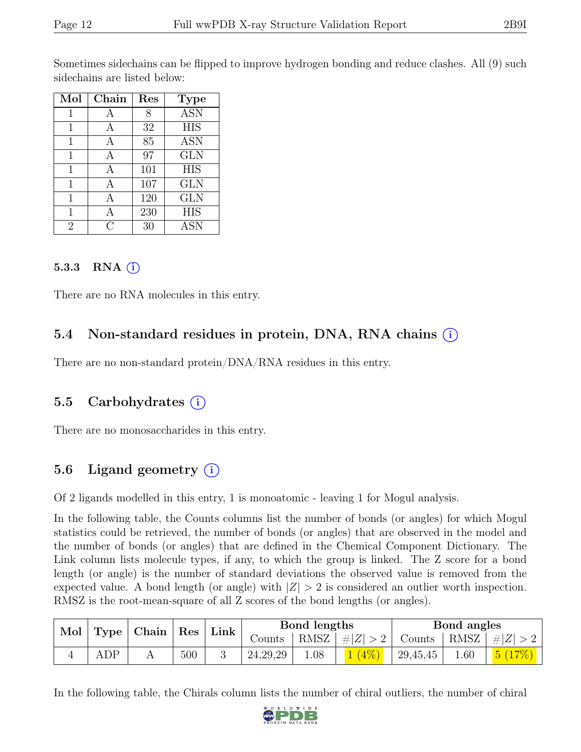Sometimes sidechains can be flipped to improve hydrogen bonding and reduce clashes. All (9) such sidechains are listed below:

| Mol            | Chain | Res | <b>Type</b>      |
|----------------|-------|-----|------------------|
| 1              | А     | 8   | <b>ASN</b>       |
| 1              |       | 32  | $\overline{HIS}$ |
| 1              |       | 85  | <b>ASN</b>       |
| 1              | А     | 97  | <b>GLN</b>       |
| 1              | А     | 101 | <b>HIS</b>       |
| 1              | А     | 107 | <b>GLN</b>       |
| 1              |       | 120 | <b>GLN</b>       |
| 1              |       | 230 | <b>HIS</b>       |
| $\overline{2}$ | C 3   | 30  | <b>ASN</b>       |

#### 5.3.3 RNA  $(i)$

There are no RNA molecules in this entry.

#### 5.4 Non-standard residues in protein, DNA, RNA chains (i)

There are no non-standard protein/DNA/RNA residues in this entry.

#### 5.5 Carbohydrates  $(i)$

There are no monosaccharides in this entry.

### 5.6 Ligand geometry  $(i)$

Of 2 ligands modelled in this entry, 1 is monoatomic - leaving 1 for Mogul analysis.

In the following table, the Counts columns list the number of bonds (or angles) for which Mogul statistics could be retrieved, the number of bonds (or angles) that are observed in the model and the number of bonds (or angles) that are defined in the Chemical Component Dictionary. The Link column lists molecule types, if any, to which the group is linked. The Z score for a bond length (or angle) is the number of standard deviations the observed value is removed from the expected value. A bond length (or angle) with  $|Z| > 2$  is considered an outlier worth inspection. RMSZ is the root-mean-square of all Z scores of the bond lengths (or angles).

| Mol   Type   Chain   Res |             |  |     |  |            |      | Link                       |                       | Bond lengths |         |  | Bond angles |  |
|--------------------------|-------------|--|-----|--|------------|------|----------------------------|-----------------------|--------------|---------|--|-------------|--|
|                          |             |  |     |  | Counts     |      | RMSZ $\vert \#Z \vert > 2$ | Counts   RMSZ $\vert$ |              | #Z  > 2 |  |             |  |
|                          | ${\rm ADP}$ |  | 500 |  | 24, 29, 29 | 0.08 | (4%                        | 29,45,45              | 0.60         | 5(17%)  |  |             |  |

In the following table, the Chirals column lists the number of chiral outliers, the number of chiral

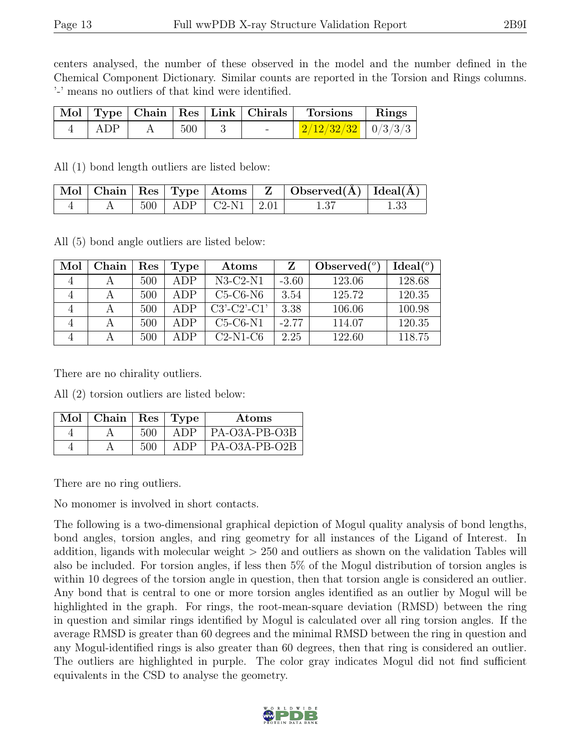centers analysed, the number of these observed in the model and the number defined in the Chemical Component Dictionary. Similar counts are reported in the Torsion and Rings columns. '-' means no outliers of that kind were identified.

|       |     |     | Mol   Type   Chain   Res   Link   Chirals   Torsions   Rings |  |
|-------|-----|-----|--------------------------------------------------------------|--|
| – ADP | 500 | $-$ | $\frac{1}{2}$ $\frac{2}{12}$ $\frac{232}{32}$   0/3/3/3      |  |

All (1) bond length outliers are listed below:

|  |  |                            | $\vert$ Mol $\vert$ Chain $\vert$ Res $\vert$ Type $\vert$ Atoms $\vert$ Z $\vert$ Observed( $\AA$ ) $\vert$ Ideal( $\AA$ ) $\vert$ |  |
|--|--|----------------------------|-------------------------------------------------------------------------------------------------------------------------------------|--|
|  |  | $500$   ADP   C2-N1   2.01 | 1.37                                                                                                                                |  |

All (5) bond angle outliers are listed below:

| Mol            | Chain | Res | Type | Atoms         |         | Observed $(°)$ | $Ideal(^o)$ |
|----------------|-------|-----|------|---------------|---------|----------------|-------------|
| $\overline{4}$ |       | 500 | ADP  | $N3-C2-N1$    | $-3.60$ | 123.06         | 128.68      |
|                |       | 500 | ADP  | $C5-C6-N6$    | 3.54    | 125.72         | 120.35      |
|                |       | 500 | ADP  | $C3'-C2'-C1'$ | 3.38    | 106.06         | 100.98      |
| 4              |       | 500 | ADP  | $C5-C6-N1$    | $-2.77$ | 114.07         | 120.35      |
|                |       | 500 | ADP  | $C2-N1-C6$    | 2.25    | 122.60         | 118.75      |

There are no chirality outliers.

All (2) torsion outliers are listed below:

| Mol | $\vert$ Chain $\vert$ Res $\vert$ Type |     |     | Atoms         |
|-----|----------------------------------------|-----|-----|---------------|
|     |                                        | 500 | ADP | PA-O3A-PB-O3B |
|     |                                        | 500 | ADP | PA-O3A-PB-O2B |

There are no ring outliers.

No monomer is involved in short contacts.

The following is a two-dimensional graphical depiction of Mogul quality analysis of bond lengths, bond angles, torsion angles, and ring geometry for all instances of the Ligand of Interest. In addition, ligands with molecular weight > 250 and outliers as shown on the validation Tables will also be included. For torsion angles, if less then 5% of the Mogul distribution of torsion angles is within 10 degrees of the torsion angle in question, then that torsion angle is considered an outlier. Any bond that is central to one or more torsion angles identified as an outlier by Mogul will be highlighted in the graph. For rings, the root-mean-square deviation (RMSD) between the ring in question and similar rings identified by Mogul is calculated over all ring torsion angles. If the average RMSD is greater than 60 degrees and the minimal RMSD between the ring in question and any Mogul-identified rings is also greater than 60 degrees, then that ring is considered an outlier. The outliers are highlighted in purple. The color gray indicates Mogul did not find sufficient equivalents in the CSD to analyse the geometry.

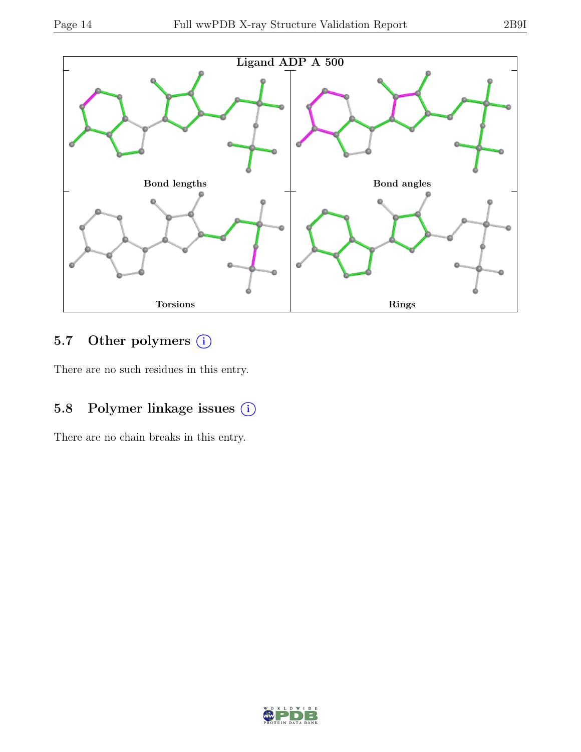

## 5.7 Other polymers (i)

There are no such residues in this entry.

## 5.8 Polymer linkage issues (i)

There are no chain breaks in this entry.

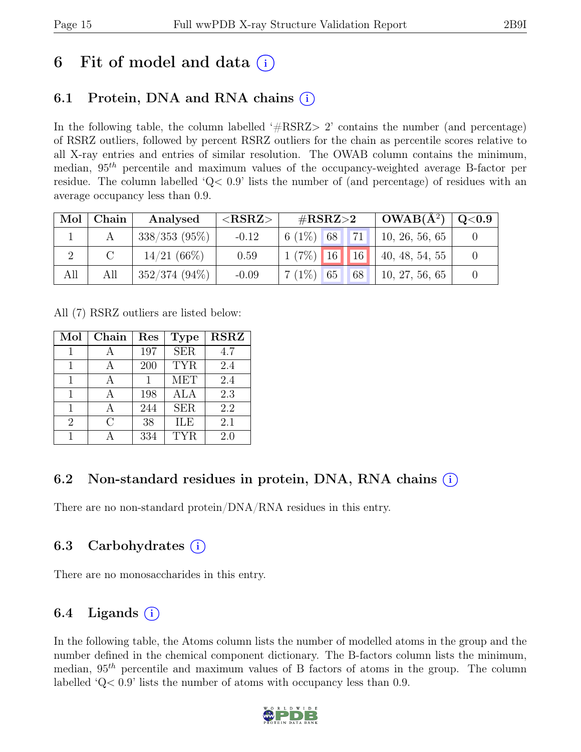## 6 Fit of model and data  $(i)$

### 6.1 Protein, DNA and RNA chains  $(i)$

In the following table, the column labelled  $#RSRZ>2$  contains the number (and percentage) of RSRZ outliers, followed by percent RSRZ outliers for the chain as percentile scores relative to all X-ray entries and entries of similar resolution. The OWAB column contains the minimum, median,  $95<sup>th</sup>$  percentile and maximum values of the occupancy-weighted average B-factor per residue. The column labelled 'Q< 0.9' lists the number of (and percentage) of residues with an average occupancy less than 0.9.

|     | Mol   Chain | Analysed        | ${ <\hspace{-1.5pt}{\mathrm{RSRZ}} \hspace{-1.5pt}>}$ | $\#\text{RSRZ}\text{>2}$ |         | $\mid$ OWAB( $A^2$ )   | $\sim$ Q $<$ 0.9 |
|-----|-------------|-----------------|-------------------------------------------------------|--------------------------|---------|------------------------|------------------|
|     |             | $338/353$ (95%) | $-0.12$                                               | $6(1\%)$ 68              | $'71$ . | 10, 26, 56, 65         |                  |
|     |             | $14/21(66\%)$   | 0.59                                                  | $1 (7\%)$ 16 16          |         | $\vert$ 40, 48, 54, 55 |                  |
| All | All         | $352/374(94\%)$ | $-0.09$                                               | $7(1\%)$ 65              | 68      | 10, 27, 56, 65         |                  |

All (7) RSRZ outliers are listed below:

| Mol            | Chain         | Res | <b>Type</b> | <b>RSRZ</b> |
|----------------|---------------|-----|-------------|-------------|
| 1              |               | 197 | <b>SER</b>  | 4.7         |
| 1              |               | 200 | <b>TYR</b>  | 2.4         |
| 1              |               |     | <b>MET</b>  | 2.4         |
| 1              |               | 198 | ALA         | 2.3         |
| 1              |               | 244 | <b>SER</b>  | 2.2         |
| $\overline{2}$ | $\mathcal{C}$ | 38  | ILE         | 2.1         |
|                |               | 334 | TYR.        | 2.0         |

### 6.2 Non-standard residues in protein, DNA, RNA chains  $(i)$

There are no non-standard protein/DNA/RNA residues in this entry.

### 6.3 Carbohydrates (i)

There are no monosaccharides in this entry.

## 6.4 Ligands  $(i)$

In the following table, the Atoms column lists the number of modelled atoms in the group and the number defined in the chemical component dictionary. The B-factors column lists the minimum, median,  $95<sup>th</sup>$  percentile and maximum values of B factors of atoms in the group. The column labelled 'Q< 0.9' lists the number of atoms with occupancy less than 0.9.